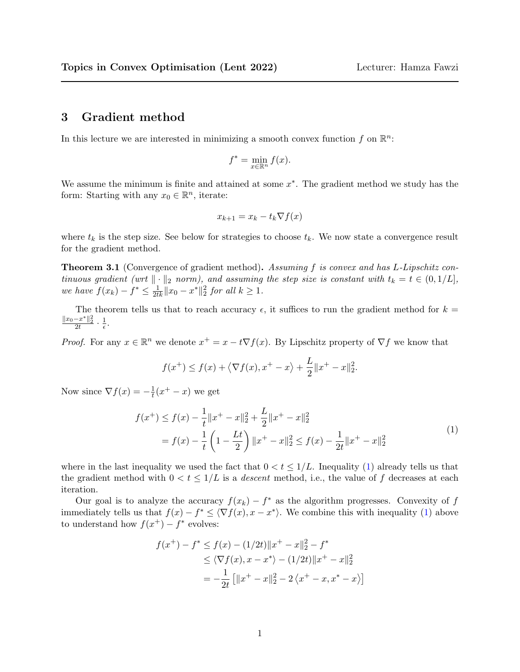## 3 Gradient method

In this lecture we are interested in minimizing a smooth convex function f on  $\mathbb{R}^n$ :

$$
f^* = \min_{x \in \mathbb{R}^n} f(x).
$$

We assume the minimum is finite and attained at some  $x^*$ . The gradient method we study has the form: Starting with any  $x_0 \in \mathbb{R}^n$ , iterate:

$$
x_{k+1} = x_k - t_k \nabla f(x)
$$

where  $t_k$  is the step size. See below for strategies to choose  $t_k$ . We now state a convergence result for the gradient method.

**Theorem 3.1** (Convergence of gradient method). Assuming f is convex and has L-Lipschitz continuous gradient (wrt  $\|\cdot\|_2$  norm), and assuming the step size is constant with  $t_k = t \in (0, 1/L]$ , we have  $f(x_k) - f^* \leq \frac{1}{2tk} ||x_0 - x^*||_2^2$  for all  $k \geq 1$ .

The theorem tells us that to reach accuracy  $\epsilon$ , it suffices to run the gradient method for  $k =$  $\frac{\|x_0-x^*\|_2^2}{2t} \cdot \frac{1}{\epsilon}$  $\frac{1}{\epsilon}$ .

*Proof.* For any  $x \in \mathbb{R}^n$  we denote  $x^+ = x - t \nabla f(x)$ . By Lipschitz property of  $\nabla f$  we know that

$$
f(x^+) \le f(x) + \langle \nabla f(x), x^+ - x \rangle + \frac{L}{2} ||x^+ - x||_2^2
$$

Now since  $\nabla f(x) = -\frac{1}{t}$  $\frac{1}{t}(x^+ - x)$  we get

<span id="page-0-0"></span>
$$
f(x^{+}) \le f(x) - \frac{1}{t} \|x^{+} - x\|_{2}^{2} + \frac{L}{2} \|x^{+} - x\|_{2}^{2}
$$
  
=  $f(x) - \frac{1}{t} \left(1 - \frac{Lt}{2}\right) \|x^{+} - x\|_{2}^{2} \le f(x) - \frac{1}{2t} \|x^{+} - x\|_{2}^{2}$  (1)

.

where in the last inequality we used the fact that  $0 < t \leq 1/L$ . Inequality [\(1\)](#page-0-0) already tells us that the gradient method with  $0 < t \leq 1/L$  is a *descent* method, i.e., the value of f decreases at each iteration.

Our goal is to analyze the accuracy  $f(x_k) - f^*$  as the algorithm progresses. Convexity of f immediately tells us that  $f(x) - f^* \leq \langle \nabla f(x), x - x^* \rangle$ . We combine this with inequality [\(1\)](#page-0-0) above to understand how  $f(x^+) - f^*$  evolves:

$$
f(x^{+}) - f^{*} \le f(x) - (1/2t) \|x^{+} - x\|_{2}^{2} - f^{*}
$$
  
\n
$$
\le \langle \nabla f(x), x - x^{*} \rangle - (1/2t) \|x^{+} - x\|_{2}^{2}
$$
  
\n
$$
= -\frac{1}{2t} \left[ \|x^{+} - x\|_{2}^{2} - 2 \langle x^{+} - x, x^{*} - x \rangle \right]
$$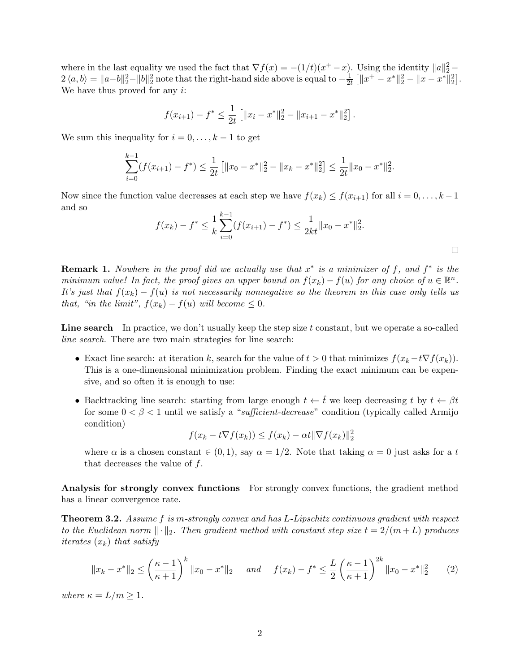where in the last equality we used the fact that  $\nabla f(x) = -(1/t)(x^+ - x)$ . Using the identity  $||a||_2^2 2 \langle a, b \rangle = ||a - b||_2^2 - ||b||_2^2$  note that the right-hand side above is equal to  $-\frac{1}{2i}$  $\frac{1}{2t}$   $\left[\|x^+ - x^*\|^2_2 - \|x - x^*\|^2_2\right].$ We have thus proved for any  $i$ :

$$
f(x_{i+1}) - f^* \le \frac{1}{2t} \left[ \|x_i - x^*\|_2^2 - \|x_{i+1} - x^*\|_2^2 \right].
$$

We sum this inequality for  $i = 0, \ldots, k - 1$  to get

$$
\sum_{i=0}^{k-1} (f(x_{i+1}) - f^*) \le \frac{1}{2t} \left[ \|x_0 - x^*\|_2^2 - \|x_k - x^*\|_2^2 \right] \le \frac{1}{2t} \|x_0 - x^*\|_2^2.
$$

Now since the function value decreases at each step we have  $f(x_k) \le f(x_{i+1})$  for all  $i = 0, \ldots, k-1$ and so

$$
f(x_k) - f^* \le \frac{1}{k} \sum_{i=0}^{k-1} (f(x_{i+1}) - f^*) \le \frac{1}{2kt} ||x_0 - x^*||_2^2.
$$

**Remark 1.** Nowhere in the proof did we actually use that  $x^*$  is a minimizer of f, and  $f^*$  is the minimum value! In fact, the proof gives an upper bound on  $f(x_k) - f(u)$  for any choice of  $u \in \mathbb{R}^n$ . It's just that  $f(x_k) - f(u)$  is not necessarily nonnegative so the theorem in this case only tells us that, "in the limit",  $f(x_k) - f(u)$  will become  $\leq 0$ .

Line search In practice, we don't usually keep the step size  $t$  constant, but we operate a so-called line search. There are two main strategies for line search:

- Exact line search: at iteration k, search for the value of  $t > 0$  that minimizes  $f(x_k t\nabla f(x_k))$ . This is a one-dimensional minimization problem. Finding the exact minimum can be expensive, and so often it is enough to use:
- Backtracking line search: starting from large enough  $t \leftarrow \hat{t}$  we keep decreasing t by  $t \leftarrow \beta t$ for some  $0 < \beta < 1$  until we satisfy a "sufficient-decrease" condition (typically called Armijo condition)

$$
f(x_k - t\nabla f(x_k)) \le f(x_k) - \alpha t \|\nabla f(x_k)\|_2^2
$$

where  $\alpha$  is a chosen constant  $\in (0, 1)$ , say  $\alpha = 1/2$ . Note that taking  $\alpha = 0$  just asks for a t that decreases the value of f.

Analysis for strongly convex functions For strongly convex functions, the gradient method has a linear convergence rate.

**Theorem 3.2.** Assume f is m-strongly convex and has L-Lipschitz continuous gradient with respect to the Euclidean norm  $\lVert \cdot \rVert_2$ . Then gradient method with constant step size  $t = 2/(m+L)$  produces *iterates*  $(x_k)$  that satisfy

<span id="page-1-0"></span>
$$
||x_k - x^*||_2 \le \left(\frac{\kappa - 1}{\kappa + 1}\right)^k ||x_0 - x^*||_2 \quad \text{and} \quad f(x_k) - f^* \le \frac{L}{2} \left(\frac{\kappa - 1}{\kappa + 1}\right)^{2k} ||x_0 - x^*||_2^2 \tag{2}
$$

where  $\kappa = L/m \geq 1$ .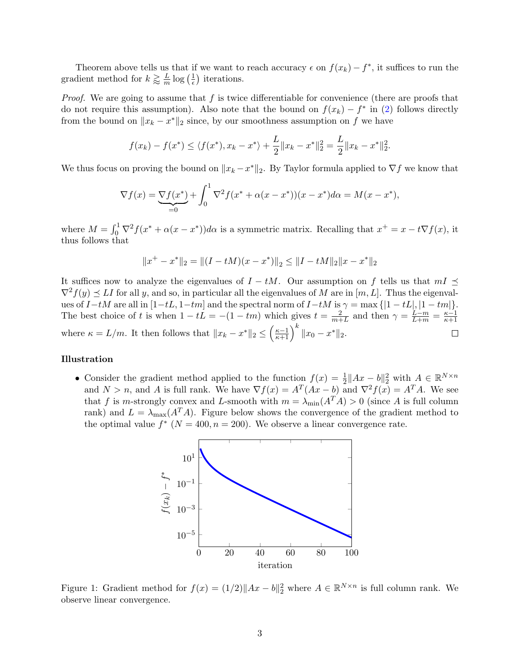Theorem above tells us that if we want to reach accuracy  $\epsilon$  on  $f(x_k) - f^*$ , it suffices to run the gradient method for  $k \gtrapprox \frac{L}{m}$  $\frac{L}{m} \log \left( \frac{1}{\epsilon} \right)$  $\frac{1}{\epsilon}$ ) iterations.

*Proof.* We are going to assume that  $f$  is twice differentiable for convenience (there are proofs that do not require this assumption). Also note that the bound on  $f(x_k) - f^*$  in [\(2\)](#page-1-0) follows directly from the bound on  $||x_k - x^*||_2$  since, by our smoothness assumption on f we have

$$
f(x_k) - f(x^*) \le \langle f(x^*), x_k - x^* \rangle + \frac{L}{2} \|x_k - x^*\|_2^2 = \frac{L}{2} \|x_k - x^*\|_2^2.
$$

We thus focus on proving the bound on  $||x_k - x^*||_2$ . By Taylor formula applied to  $\nabla f$  we know that

$$
\nabla f(x) = \underbrace{\nabla f(x^*)}_{=0} + \int_0^1 \nabla^2 f(x^* + \alpha(x - x^*)) (x - x^*) d\alpha = M(x - x^*),
$$

where  $M = \int_0^1 \nabla^2 f(x^* + \alpha(x - x^*)) d\alpha$  is a symmetric matrix. Recalling that  $x^+ = x - t \nabla f(x)$ , it thus follows that

$$
||x^{+} - x^{*}||_{2} = ||(I - tM)(x - x^{*})||_{2} \leq ||I - tM||_{2}||x - x^{*}||_{2}
$$

It suffices now to analyze the eigenvalues of  $I - tM$ . Our assumption on f tells us that  $mI \preceq$  $\nabla^2 f(y) \preceq L I$  for all y, and so, in particular all the eigenvalues of M are in  $[m, L]$ . Thus the eigenvalues of  $I-tM$  are all in  $[1-tL, 1-tm]$  and the spectral norm of  $I-tM$  is  $\gamma = \max\{|1-tL|, |1-tm|\}.$ The best choice of t is when  $1 - tL = -(1 - tm)$  which gives  $t = \frac{2}{m+1}$  $\frac{2}{m+L}$  and then  $\gamma = \frac{L-m}{L+m} = \frac{\kappa-1}{\kappa+1}$  $\overline{k+1}$ where  $\kappa = L/m$ . It then follows that  $||x_k - x^*||_2 \leq \left(\frac{\kappa-1}{\kappa+1}\right)^k ||x_0 - x^*||_2$ .  $\Box$ 

## Illustration

• Consider the gradient method applied to the function  $f(x) = \frac{1}{2} ||Ax - b||_2^2$  with  $A \in \mathbb{R}^{N \times n}$ and  $N > n$ , and A is full rank. We have  $\nabla f(x) = A^T(Ax - b)$  and  $\nabla^2 f(x) = A^T A$ . We see that f is m-strongly convex and L-smooth with  $m = \lambda_{\min}(A^T A) > 0$  (since A is full column rank) and  $L = \lambda_{\text{max}}(A^T A)$ . Figure below shows the convergence of the gradient method to the optimal value  $f^*$  ( $N = 400, n = 200$ ). We observe a linear convergence rate.



Figure 1: Gradient method for  $f(x) = (1/2) ||Ax - b||_2^2$  where  $A \in \mathbb{R}^{N \times n}$  is full column rank. We observe linear convergence.